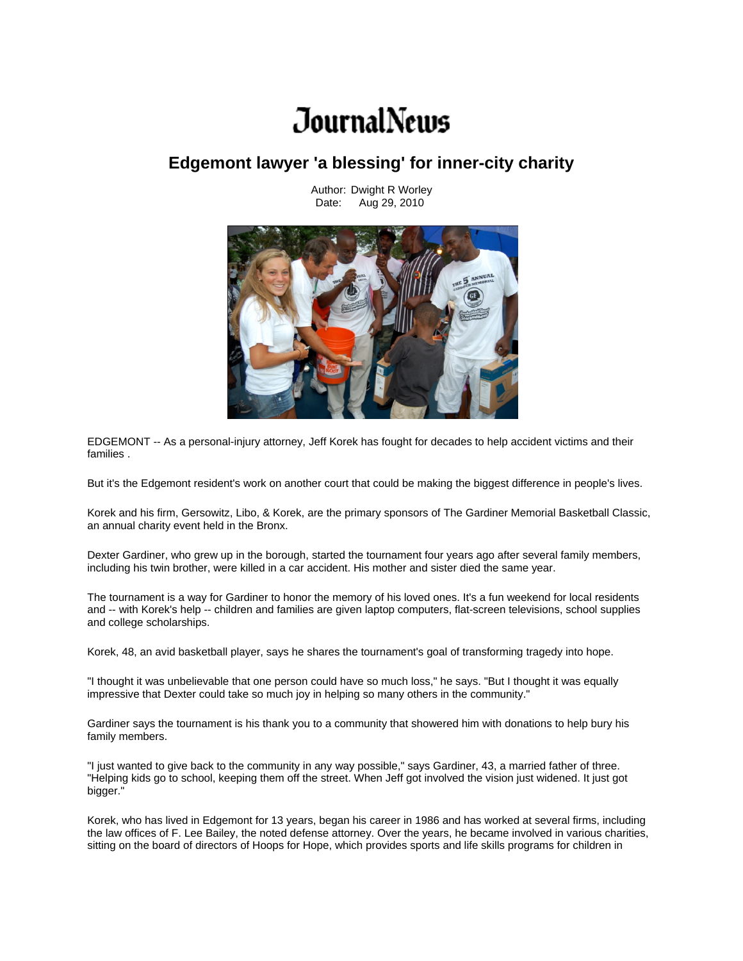## JournalNews

## **Edgemont lawyer 'a blessing' for inner-city charity**

EDGEMONT -- As a personal-injury attorney, Jeff Korek has fought for decades to help accident victims and their families .

But it's the Edgemont resident's work on another court that could be making the biggest difference in people's lives.

Korek and his firm, Gersowitz, Libo, & Korek, are the primary sponsors of The Gardiner Memorial Basketball Classic, an annual charity event held in the Bronx.

Dexter Gardiner, who grew up in the borough, started the tournament four years ago after several family members, including his twin brother, were killed in a car accident. His mother and sister died the same year.

The tournament is a way for Gardiner to honor the memory of his loved ones. It's a fun weekend for local residents and -- with Korek's help -- children and families are given laptop computers, flat-screen televisions, school supplies and college scholarships.

Korek, 48, an avid basketball player, says he shares the tournament's goal of transforming tragedy into hope.

"I thought it was unbelievable that one person could have so much loss," he says. "But I thought it was equally impressive that Dexter could take so much joy in helping so many others in the community."

Gardiner says the tournament is his thank you to a community that showered him with donations to help bury his family members.

"I just wanted to give back to the community in any way possible," says Gardiner, 43, a married father of three. "Helping kids go to school, keeping them off the street. When Jeff got involved the vision just widened. It just got bigger."

Korek, who has lived in Edgemont for 13 years, began his career in 1986 and has worked at several firms, including the law offices of F. Lee Bailey, the noted defense attorney. Over the years, he became involved in various charities, sitting on the board of directors of Hoops for Hope, which provides sports and life skills programs for children in